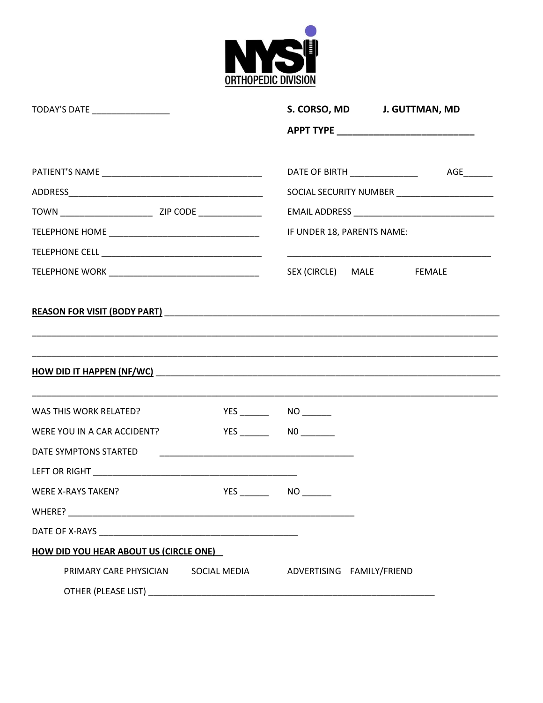

| TODAY'S DATE _________________                                |  |                                                |  | S. CORSO, MD J. GUTTMAN, MD                   |
|---------------------------------------------------------------|--|------------------------------------------------|--|-----------------------------------------------|
|                                                               |  |                                                |  |                                               |
|                                                               |  |                                                |  | DATE OF BIRTH ___________________  AGE_______ |
|                                                               |  | SOCIAL SECURITY NUMBER _______________________ |  |                                               |
|                                                               |  |                                                |  |                                               |
|                                                               |  | IF UNDER 18, PARENTS NAME:                     |  |                                               |
|                                                               |  |                                                |  |                                               |
|                                                               |  | SEX (CIRCLE) MALE FEMALE                       |  |                                               |
|                                                               |  |                                                |  |                                               |
| WAS THIS WORK RELATED?                                        |  |                                                |  |                                               |
| WERE YOU IN A CAR ACCIDENT?                                   |  | YES _________  NO _________                    |  |                                               |
| DATE SYMPTONS STARTED                                         |  |                                                |  |                                               |
|                                                               |  |                                                |  |                                               |
| <b>WERE X-RAYS TAKEN?</b>                                     |  | YES _________  NO ________                     |  |                                               |
|                                                               |  |                                                |  |                                               |
|                                                               |  |                                                |  |                                               |
| HOW DID YOU HEAR ABOUT US (CIRCLE ONE)                        |  |                                                |  |                                               |
| PRIMARY CARE PHYSICIAN SOCIAL MEDIA ADVERTISING FAMILY/FRIEND |  |                                                |  |                                               |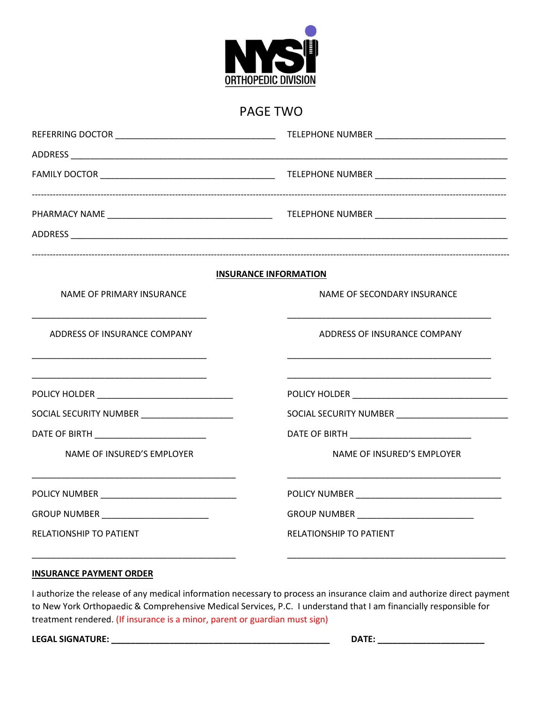

## PAGE TWO

|                                               | <b>INSURANCE INFORMATION</b>                                                                   |  |  |
|-----------------------------------------------|------------------------------------------------------------------------------------------------|--|--|
| NAME OF PRIMARY INSURANCE                     | NAME OF SECONDARY INSURANCE                                                                    |  |  |
| ADDRESS OF INSURANCE COMPANY                  | ADDRESS OF INSURANCE COMPANY<br><u> 1989 - Johann Barbara, margaret eta idazlea (h. 1989).</u> |  |  |
|                                               |                                                                                                |  |  |
| SOCIAL SECURITY NUMBER ______________________ |                                                                                                |  |  |
| DATE OF BIRTH __________________________      | DATE OF BIRTH <b>And All Property Container and All Property</b>                               |  |  |
| NAME OF INSURED'S EMPLOYER                    | NAME OF INSURED'S EMPLOYER                                                                     |  |  |
|                                               |                                                                                                |  |  |
|                                               |                                                                                                |  |  |
| RELATIONSHIP TO PATIENT                       | RELATIONSHIP TO PATIENT                                                                        |  |  |
|                                               |                                                                                                |  |  |

### **INSURANCE PAYMENT ORDER**

I authorize the release of any medical information necessary to process an insurance claim and authorize direct payment to New York Orthopaedic & Comprehensive Medical Services, P.C. I understand that I am financially responsible for treatment rendered. (If insurance is a minor, parent or guardian must sign)

**LEGAL SIGNATURE: \_\_\_\_\_\_\_\_\_\_\_\_\_\_\_\_\_\_\_\_\_\_\_\_\_\_\_\_\_\_\_\_\_\_\_\_\_\_\_\_\_\_\_\_\_ DATE: \_\_\_\_\_\_\_\_\_\_\_\_\_\_\_\_\_\_\_\_\_\_**